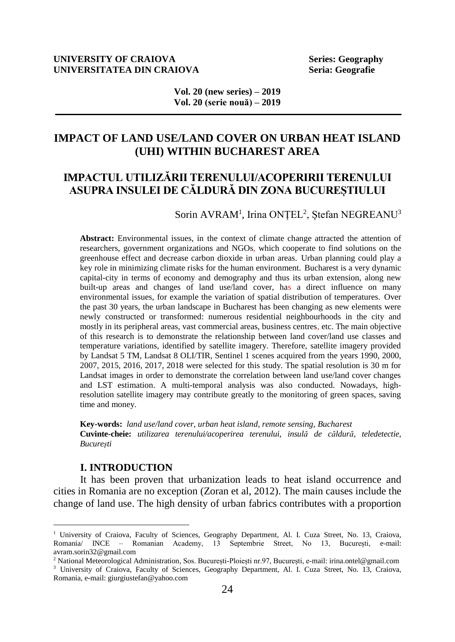## **UNIVERSITY OF CRAIOVA Series: Geography UNIVERSITATEA DIN CRAIOVA Seria: Geografie**

**Vol. 20 (new series) – 2019 Vol. 20 (serie nouă) – 2019**

# **IMPACT OF LAND USE/LAND COVER ON URBAN HEAT ISLAND (UHI) WITHIN BUCHAREST AREA**

# **IMPACTUL UTILIZĂRII TERENULUI/ACOPERIRII TERENULUI ASUPRA INSULEI DE CĂLDURĂ DIN ZONA BUCUREȘTIULUI**

Sorin AVRAM<sup>1</sup>, Irina ONȚEL<sup>2</sup>, Ștefan NEGREANU<sup>3</sup>

**Abstract:** Environmental issues, in the context of climate change attracted the attention of researchers, government organizations and NGOs, which cooperate to find solutions on the greenhouse effect and decrease carbon dioxide in urban areas. Urban planning could play a key role in minimizing climate risks for the human environment. Bucharest is a very dynamic capital-city in terms of economy and demography and thus its urban extension, along new built-up areas and changes of land use/land cover, has a direct influence on many environmental issues, for example the variation of spatial distribution of temperatures. Over the past 30 years, the urban landscape in Bucharest has been changing as new elements were newly constructed or transformed: numerous residential neighbourhoods in the city and mostly in its peripheral areas, vast commercial areas, business centres, etc. The main objective of this research is to demonstrate the relationship between land cover/land use classes and temperature variations, identified by satellite imagery. Therefore, satellite imagery provided by Landsat 5 TM, Landsat 8 OLI/TIR, Sentinel 1 scenes acquired from the years 1990, 2000, 2007, 2015, 2016, 2017, 2018 were selected for this study. The spatial resolution is 30 m for Landsat images in order to demonstrate the correlation between land use/land cover changes and LST estimation. A multi-temporal analysis was also conducted. Nowadays, highresolution satellite imagery may contribute greatly to the monitoring of green spaces, saving time and money.

**Key-words:** *land use/land cover, urban heat island, remote sensing, Bucharest* **Cuvinte-cheie:** *utilizarea terenului/acoperirea terenului, insulă de căldură, teledetectie, București*

## **I. INTRODUCTION**

 $\overline{a}$ 

It has been proven that urbanization leads to heat island occurrence and cities in Romania are no exception (Zoran et al, 2012). The main causes include the change of land use. The high density of urban fabrics contributes with a proportion

<sup>&</sup>lt;sup>1</sup> University of Craiova, Faculty of Sciences, Geography Department, Al. I. Cuza Street, No. 13, Craiova, Romania/ INCE – Romanian Academy, 13 Septembrie Street, No 13, București, e-mail: avram.sorin32@gmail.com

<sup>2</sup> National Meteorological Administration, Sos. București-Ploiești nr.97, București, e-mail: irina.ontel@gmail.com

<sup>&</sup>lt;sup>3</sup> University of Craiova, Faculty of Sciences, Geography Department, Al. I. Cuza Street, No. 13, Craiova, Romania, e-mail: giurgiustefan@yahoo.com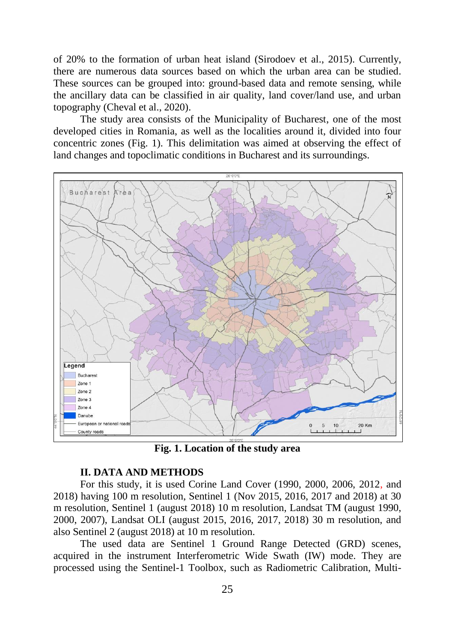of 20% to the formation of urban heat island (Sirodoev et al., 2015). Currently, there are numerous data sources based on which the urban area can be studied. These sources can be grouped into: ground-based data and remote sensing, while the ancillary data can be classified in air quality, land cover/land use, and urban topography (Cheval et al., 2020).

The study area consists of the Municipality of Bucharest, one of the most developed cities in Romania, as well as the localities around it, divided into four concentric zones (Fig. 1). This delimitation was aimed at observing the effect of land changes and topoclimatic conditions in Bucharest and its surroundings.



**Fig. 1. Location of the study area**

## **II. DATA AND METHODS**

For this study, it is used Corine Land Cover (1990, 2000, 2006, 2012, and 2018) having 100 m resolution, Sentinel 1 (Nov 2015, 2016, 2017 and 2018) at 30 m resolution, Sentinel 1 (august 2018) 10 m resolution, Landsat TM (august 1990, 2000, 2007), Landsat OLI (august 2015, 2016, 2017, 2018) 30 m resolution, and also Sentinel 2 (august 2018) at 10 m resolution.

The used data are Sentinel 1 Ground Range Detected (GRD) scenes, acquired in the instrument Interferometric Wide Swath (IW) mode. They are processed using the Sentinel-1 Toolbox, such as Radiometric Calibration, Multi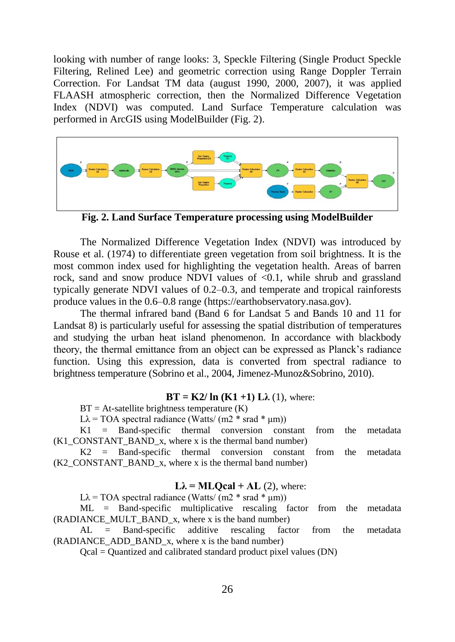looking with number of range looks: 3, Speckle Filtering (Single Product Speckle Filtering, Relined Lee) and geometric correction using Range Doppler Terrain Correction. For Landsat TM data (august 1990, 2000, 2007), it was applied FLAASH atmospheric correction, then the Normalized Difference Vegetation Index (NDVI) was computed. Land Surface Temperature calculation was performed in ArcGIS using ModelBuilder (Fig. 2).



**Fig. 2. Land Surface Temperature processing using ModelBuilder**

The Normalized Difference Vegetation Index (NDVI) was introduced by Rouse et al. (1974) to differentiate green vegetation from soil brightness. It is the most common index used for highlighting the vegetation health. Areas of barren rock, sand and snow produce NDVI values of  $\leq 0.1$ , while shrub and grassland typically generate NDVI values of 0.2–0.3, and temperate and tropical rainforests produce values in the 0.6–0.8 range [\(https://earthobservatory.nasa.gov\)](https://earthobservatory.nasa.gov/).

The thermal infrared band (Band 6 for Landsat 5 and Bands 10 and 11 for Landsat 8) is particularly useful for assessing the spatial distribution of temperatures and studying the urban heat island phenomenon. In accordance with blackbody theory, the thermal emittance from an object can be expressed as Planck's radiance function. Using this expression, data is converted from spectral radiance to brightness temperature (Sobrino et al., 2004, Jimenez-Munoz&Sobrino, 2010).

## **BT = K2/ ln (K1 +1) L** $\lambda$  **(1), where:**

 $BT = At$ -satellite brightness temperature  $(K)$ 

Lλ = TOA spectral radiance (Watts/  $(m2 * grad * \mu m)$ )

K1 = Band-specific thermal conversion constant from the metadata  $(K1$  CONSTANT BAND x, where x is the thermal band number)

K2 = Band-specific thermal conversion constant from the metadata (K2\_CONSTANT\_BAND\_x, where x is the thermal band number)

## $L\lambda = MLOcal + AL(2)$ , where:

 $L\lambda$  = TOA spectral radiance (Watts/ (m2  $*$  srad  $*$  µm))

ML = Band-specific multiplicative rescaling factor from the metadata (RADIANCE MULT BAND x, where x is the band number)

AL = Band-specific additive rescaling factor from the metadata (RADIANCE\_ADD\_BAND\_x, where x is the band number)

Qcal = Quantized and calibrated standard product pixel values (DN)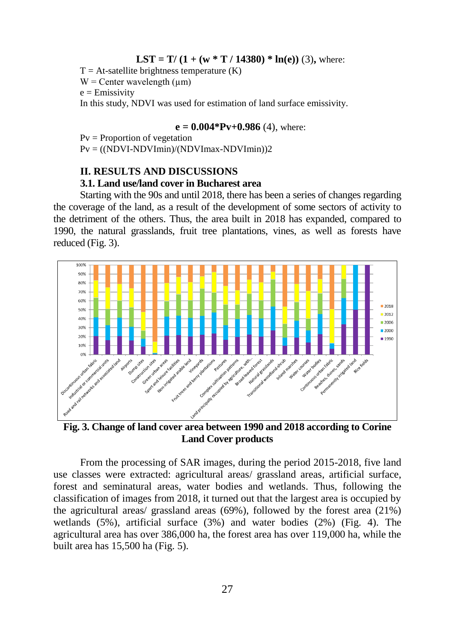**LST** =  $T/(1 + (w * T / 14380) * ln(e))$  (3), where:

 $T = At$ -satellite brightness temperature  $(K)$  $W =$  Center wavelength ( $\mu$ m)  $e =$ Emissivity

In this study, NDVI was used for estimation of land surface emissivity.

#### $e = 0.004*Pv+0.986(4)$ , where:

 $Pv = Proportion of vegetation$ 

Pv = ((NDVI-NDVImin)/(NDVImax-NDVImin))2

## **II. RESULTS AND DISCUSSIONS**

## **3.1. Land use/land cover in Bucharest area**

Starting with the 90s and until 2018, there has been a series of changes regarding the coverage of the land, as a result of the development of some sectors of activity to the detriment of the others. Thus, the area built in 2018 has expanded, compared to 1990, the natural grasslands, fruit tree plantations, vines, as well as forests have reduced (Fig. 3).



**Fig. 3. Change of land cover area between 1990 and 2018 according to Corine Land Cover products**

From the processing of SAR images, during the period 2015-2018, five land use classes were extracted: agricultural areas/ grassland areas, artificial surface, forest and seminatural areas, water bodies and wetlands. Thus, following the classification of images from 2018, it turned out that the largest area is occupied by the agricultural areas/ grassland areas (69%), followed by the forest area (21%) wetlands (5%), artificial surface (3%) and water bodies (2%) (Fig. 4). The agricultural area has over 386,000 ha, the forest area has over 119,000 ha, while the built area has 15,500 ha (Fig. 5).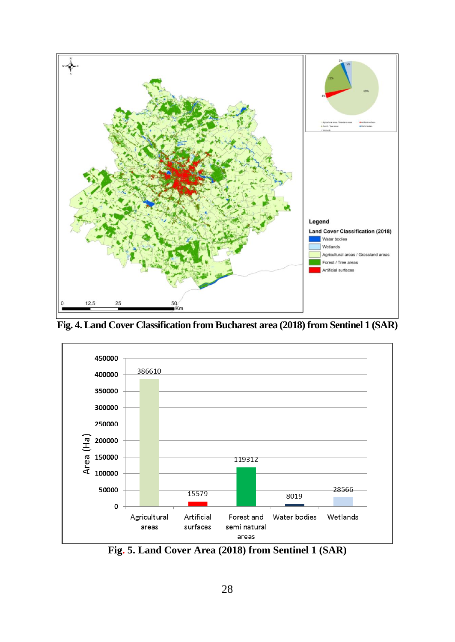

**Fig. 4. Land Cover Classification from Bucharest area (2018) from Sentinel 1 (SAR)**



**Fig. 5. Land Cover Area (2018) from Sentinel 1 (SAR)**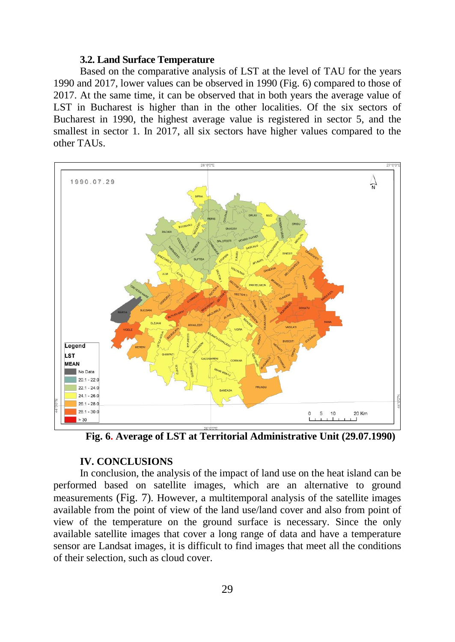## **3.2. Land Surface Temperature**

Based on the comparative analysis of LST at the level of TAU for the years 1990 and 2017, lower values can be observed in 1990 (Fig. 6) compared to those of 2017. At the same time, it can be observed that in both years the average value of LST in Bucharest is higher than in the other localities. Of the six sectors of Bucharest in 1990, the highest average value is registered in sector 5, and the smallest in sector 1. In 2017, all six sectors have higher values compared to the other TAUs.



**Fig. 6. Average of LST at Territorial Administrative Unit (29.07.1990)**

## **IV. CONCLUSIONS**

In conclusion, the analysis of the impact of land use on the heat island can be performed based on satellite images, which are an alternative to ground measurements (Fig. 7). However, a multitemporal analysis of the satellite images available from the point of view of the land use/land cover and also from point of view of the temperature on the ground surface is necessary. Since the only available satellite images that cover a long range of data and have a temperature sensor are Landsat images, it is difficult to find images that meet all the conditions of their selection, such as cloud cover.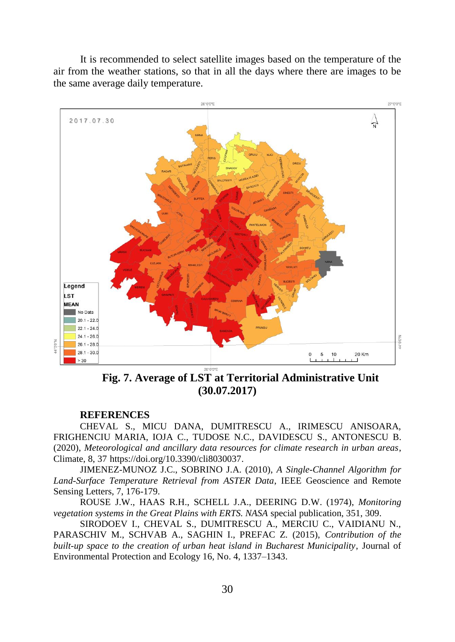It is recommended to select satellite images based on the temperature of the air from the weather stations, so that in all the days where there are images to be the same average daily temperature.



**Fig. 7. Average of LST at Territorial Administrative Unit (30.07.2017)**

#### **REFERENCES**

CHEVAL S., MICU DANA, DUMITRESCU A., IRIMESCU ANISOARA, FRIGHENCIU MARIA, IOJA C., TUDOSE N.C., DAVIDESCU S., ANTONESCU B. (2020), *Meteorological and ancillary data resources for climate research in urban areas*, Climate, 8, 37 [https://doi.org/10.3390/cli8030037.](https://doi.org/10.3390/cli8030037)

JIMENEZ-MUNOZ J.C., SOBRINO J.A. (2010), *A Single-Channel Algorithm for Land-Surface Temperature Retrieval from ASTER Data*, IEEE Geoscience and Remote Sensing Letters, 7, 176-179.

ROUSE J.W., HAAS R.H., SCHELL J.A., DEERING D.W. (1974), *Monitoring vegetation systems in the Great Plains with ERTS. NASA* special publication, 351, 309.

SIRODOEV I., CHEVAL S., DUMITRESCU A., MERCIU C., VAIDIANU N., PARASCHIV M., SCHVAB A., SAGHIN I., PREFAC Z. (2015), *Contribution of the built-up space to the creation of urban heat island in Bucharest Municipality*, Journal of Environmental Protection and Ecology 16, No. 4, 1337–1343.